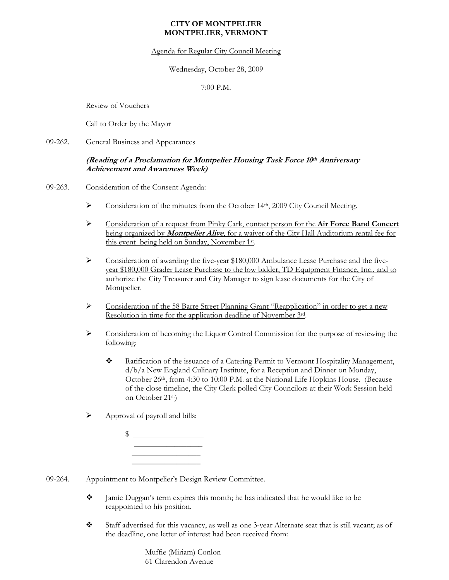## **CITY OF MONTPELIER MONTPELIER, VERMONT**

Agenda for Regular City Council Meeting

Wednesday, October 28, 2009

7:00 P.M.

Review of Vouchers

Call to Order by the Mayor

09-262. General Business and Appearances

## **(Reading of a Proclamation for Montpelier Housing Task Force 10th Anniversary Achievement and Awareness Week)**

- 09-263. Consideration of the Consent Agenda:
	- ¾ Consideration of the minutes from the October 14th, 2009 City Council Meeting.
	- ¾ Consideration of a request from Pinky Cark, contact person for the **Air Force Band Concert** being organized by **Montpelier Alive**, for a waiver of the City Hall Auditorium rental fee for this event being held on Sunday, November 1st.
	- $\triangleright$  Consideration of awarding the five-year \$180,000 Ambulance Lease Purchase and the fiveyear \$180,000 Grader Lease Purchase to the low bidder, TD Equipment Finance, Inc., and to authorize the City Treasurer and City Manager to sign lease documents for the City of Montpelier.
	- ¾ Consideration of the 58 Barre Street Planning Grant "Reapplication" in order to get a new Resolution in time for the application deadline of November 3rd.
	- ¾ Consideration of becoming the Liquor Control Commission for the purpose of reviewing the following:
		- Ratification of the issuance of a Catering Permit to Vermont Hospitality Management, d/b/a New England Culinary Institute, for a Reception and Dinner on Monday, October 26th, from 4:30 to 10:00 P.M. at the National Life Hopkins House. (Because of the close timeline, the City Clerk polled City Councilors at their Work Session held on October 21st)
	- $\triangleright$  Approval of payroll and bills:

 $\mathfrak{D}$  $\frac{1}{\sqrt{2}}$  ,  $\frac{1}{\sqrt{2}}$  ,  $\frac{1}{\sqrt{2}}$  ,  $\frac{1}{\sqrt{2}}$  ,  $\frac{1}{\sqrt{2}}$  ,  $\frac{1}{\sqrt{2}}$  ,  $\frac{1}{\sqrt{2}}$  ,  $\frac{1}{\sqrt{2}}$  ,  $\frac{1}{\sqrt{2}}$  ,  $\frac{1}{\sqrt{2}}$  ,  $\frac{1}{\sqrt{2}}$  ,  $\frac{1}{\sqrt{2}}$  ,  $\frac{1}{\sqrt{2}}$  ,  $\frac{1}{\sqrt{2}}$  ,  $\frac{1}{\sqrt{2}}$  $\frac{1}{\sqrt{2}}$  ,  $\frac{1}{\sqrt{2}}$  ,  $\frac{1}{\sqrt{2}}$  ,  $\frac{1}{\sqrt{2}}$  ,  $\frac{1}{\sqrt{2}}$  ,  $\frac{1}{\sqrt{2}}$  ,  $\frac{1}{\sqrt{2}}$  ,  $\frac{1}{\sqrt{2}}$  ,  $\frac{1}{\sqrt{2}}$  ,  $\frac{1}{\sqrt{2}}$  ,  $\frac{1}{\sqrt{2}}$  ,  $\frac{1}{\sqrt{2}}$  ,  $\frac{1}{\sqrt{2}}$  ,  $\frac{1}{\sqrt{2}}$  ,  $\frac{1}{\sqrt{2}}$ 

- 09-264. Appointment to Montpelier's Design Review Committee.
	- Jamie Duggan's term expires this month; he has indicated that he would like to be reappointed to his position.
	- Staff advertised for this vacancy, as well as one 3-year Alternate seat that is still vacant; as of the deadline, one letter of interest had been received from:

 Muffie (Miriam) Conlon 61 Clarendon Avenue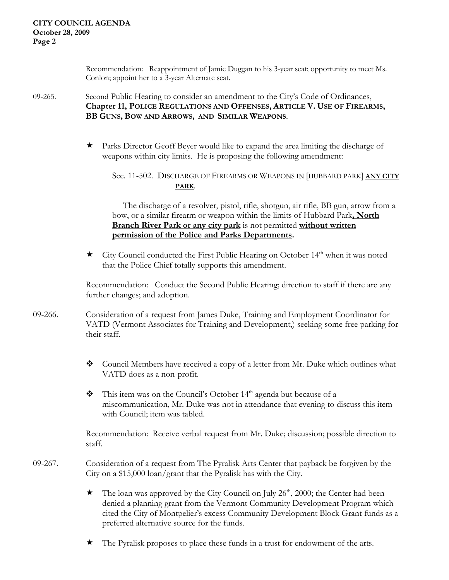Recommendation: Reappointment of Jamie Duggan to his 3-year seat; opportunity to meet Ms. Conlon; appoint her to a 3-year Alternate seat.

09-265. Second Public Hearing to consider an amendment to the City's Code of Ordinances, **Chapter 11, POLICE REGULATIONS AND OFFENSES, ARTICLE V. USE OF FIREARMS, BB GUNS, BOW AND ARROWS, AND SIMILAR WEAPONS**.

> Parks Director Geoff Beyer would like to expand the area limiting the discharge of weapons within city limits. He is proposing the following amendment:

 Sec. 11-502. DISCHARGE OF FIREARMS OR WEAPONS IN [HUBBARD PARK] **ANY CITY PARK**.

> The discharge of a revolver, pistol, rifle, shotgun, air rifle, BB gun, arrow from a bow, or a similar firearm or weapon within the limits of Hubbard Park**, North Branch River Park or any city park** is not permitted **without written permission of the Police and Parks Departments.**

 $\star$  City Council conducted the First Public Hearing on October 14<sup>th</sup> when it was noted that the Police Chief totally supports this amendment.

Recommendation: Conduct the Second Public Hearing; direction to staff if there are any further changes; and adoption.

- 09-266. Consideration of a request from James Duke, Training and Employment Coordinator for VATD (Vermont Associates for Training and Development,) seeking some free parking for their staff.
	- Council Members have received a copy of a letter from Mr. Duke which outlines what VATD does as a non-profit.
	- $\bullet$  This item was on the Council's October 14<sup>th</sup> agenda but because of a miscommunication, Mr. Duke was not in attendance that evening to discuss this item with Council; item was tabled.

 Recommendation: Receive verbal request from Mr. Duke; discussion; possible direction to staff.

- 09-267. Consideration of a request from The Pyralisk Arts Center that payback be forgiven by the City on a \$15,000 loan/grant that the Pyralisk has with the City.
	- $\star$  The loan was approved by the City Council on July 26<sup>th</sup>, 2000; the Center had been denied a planning grant from the Vermont Community Development Program which cited the City of Montpelier's excess Community Development Block Grant funds as a preferred alternative source for the funds.
	- The Pyralisk proposes to place these funds in a trust for endowment of the arts.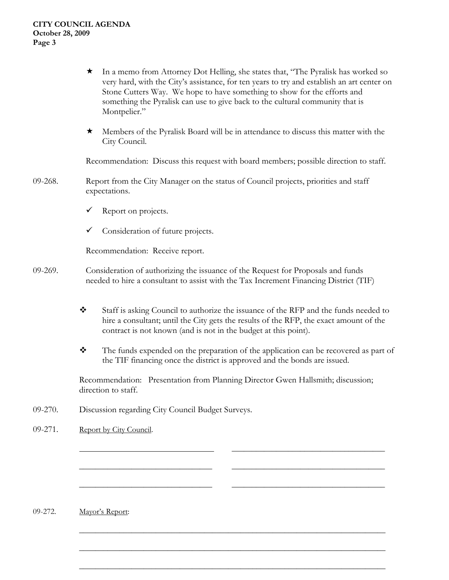- In a memo from Attorney Dot Helling, she states that, "The Pyralisk has worked so very hard, with the City's assistance, for ten years to try and establish an art center on Stone Cutters Way. We hope to have something to show for the efforts and something the Pyralisk can use to give back to the cultural community that is Montpelier."
- Members of the Pyralisk Board will be in attendance to discuss this matter with the City Council.

Recommendation: Discuss this request with board members; possible direction to staff.

- 09-268. Report from the City Manager on the status of Council projects, priorities and staff expectations.
	- Report on projects.
	- $\checkmark$  Consideration of future projects.

Recommendation: Receive report.

- 09-269. Consideration of authorizing the issuance of the Request for Proposals and funds needed to hire a consultant to assist with the Tax Increment Financing District (TIF)
	- Staff is asking Council to authorize the issuance of the RFP and the funds needed to hire a consultant; until the City gets the results of the RFP, the exact amount of the contract is not known (and is not in the budget at this point).
	- \* The funds expended on the preparation of the application can be recovered as part of the TIF financing once the district is approved and the bonds are issued.

Recommendation: Presentation from Planning Director Gwen Hallsmith; discussion; direction to staff.

 $\overline{\phantom{a}}$  , and the contract of the contract of the contract of the contract of the contract of the contract of the contract of the contract of the contract of the contract of the contract of the contract of the contrac

 $\bar{a}$  , and the contribution of the contribution of the contribution of the contribution of the contribution of the contribution of the contribution of the contribution of the contribution of the contribution of the con

 $\frac{1}{2}$  ,  $\frac{1}{2}$  ,  $\frac{1}{2}$  ,  $\frac{1}{2}$  ,  $\frac{1}{2}$  ,  $\frac{1}{2}$  ,  $\frac{1}{2}$  ,  $\frac{1}{2}$  ,  $\frac{1}{2}$  ,  $\frac{1}{2}$  ,  $\frac{1}{2}$  ,  $\frac{1}{2}$  ,  $\frac{1}{2}$  ,  $\frac{1}{2}$  ,  $\frac{1}{2}$  ,  $\frac{1}{2}$  ,  $\frac{1}{2}$  ,  $\frac{1}{2}$  ,  $\frac{1$ 

 $\mathcal{L}_\text{max} = \frac{1}{2} \left[ \frac{1}{2} \frac{1}{2} \frac{1}{2} \frac{1}{2} \frac{1}{2} \frac{1}{2} \frac{1}{2} \frac{1}{2} \frac{1}{2} \frac{1}{2} \frac{1}{2} \frac{1}{2} \frac{1}{2} \frac{1}{2} \frac{1}{2} \frac{1}{2} \frac{1}{2} \frac{1}{2} \frac{1}{2} \frac{1}{2} \frac{1}{2} \frac{1}{2} \frac{1}{2} \frac{1}{2} \frac{1}{2} \frac{1}{2} \frac{1}{2} \frac{1}{2} \frac$ 

 $\mathcal{L}_\text{max} = \frac{1}{2} \left[ \frac{1}{2} \frac{1}{2} \frac{1}{2} \frac{1}{2} \frac{1}{2} \frac{1}{2} \frac{1}{2} \frac{1}{2} \frac{1}{2} \frac{1}{2} \frac{1}{2} \frac{1}{2} \frac{1}{2} \frac{1}{2} \frac{1}{2} \frac{1}{2} \frac{1}{2} \frac{1}{2} \frac{1}{2} \frac{1}{2} \frac{1}{2} \frac{1}{2} \frac{1}{2} \frac{1}{2} \frac{1}{2} \frac{1}{2} \frac{1}{2} \frac{1}{2} \frac$ 

 $\mathcal{L}_\text{max} = \frac{1}{2} \left[ \frac{1}{2} \frac{1}{2} \frac{1}{2} \frac{1}{2} \frac{1}{2} \frac{1}{2} \frac{1}{2} \frac{1}{2} \frac{1}{2} \frac{1}{2} \frac{1}{2} \frac{1}{2} \frac{1}{2} \frac{1}{2} \frac{1}{2} \frac{1}{2} \frac{1}{2} \frac{1}{2} \frac{1}{2} \frac{1}{2} \frac{1}{2} \frac{1}{2} \frac{1}{2} \frac{1}{2} \frac{1}{2} \frac{1}{2} \frac{1}{2} \frac{1}{2} \frac$ 

- 09-270. Discussion regarding City Council Budget Surveys.
- 09-271. Report by City Council.

09-272. Mayor's Report: